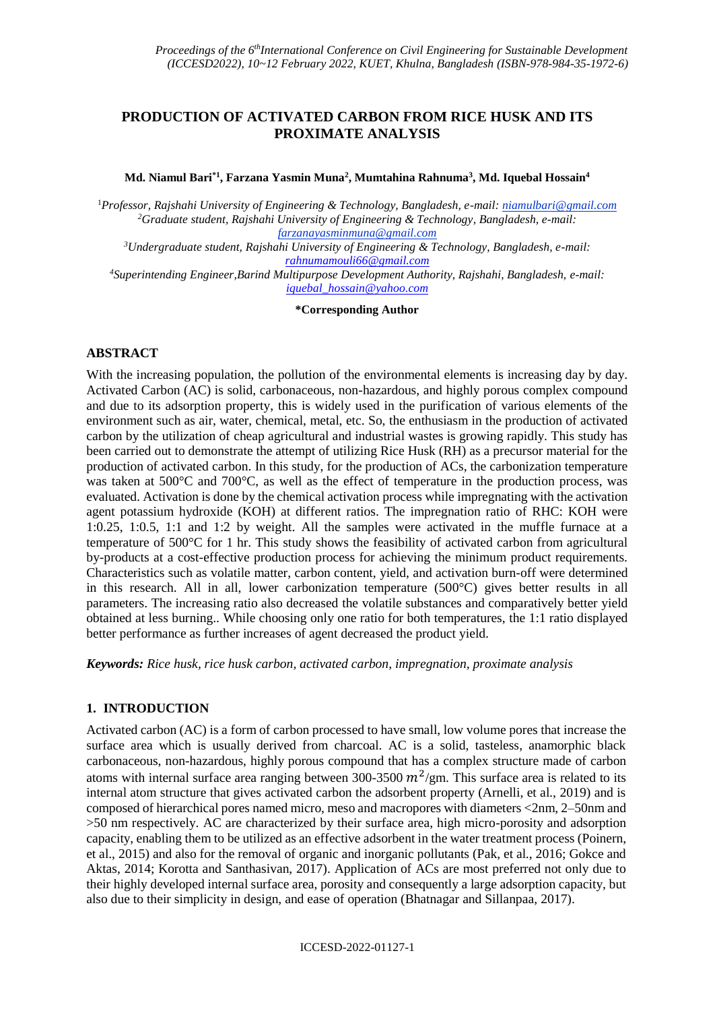# **PRODUCTION OF ACTIVATED CARBON FROM RICE HUSK AND ITS PROXIMATE ANALYSIS**

**Md. Niamul Bari\*1 , Farzana Yasmin Muna<sup>2</sup> , Mumtahina Rahnuma<sup>3</sup> , Md. Iquebal Hossain<sup>4</sup>**

<sup>1</sup>*Professor, Rajshahi University of Engineering & Technology, Bangladesh, e-mail: niamulbari@gmail.com <sup>2</sup>Graduate student, Rajshahi University of Engineering & Technology, Bangladesh, e-mail: farzanayasminmuna@gmail.com*

*<sup>3</sup>Undergraduate student, Rajshahi University of Engineering & Technology, Bangladesh, e-mail: [rahnumamouli66@gmail.com](mailto:rahnumamouli66@gmail.com)*

*<sup>4</sup>Superintending Engineer,Barind Multipurpose Development Authority, Rajshahi, Bangladesh, e-mail: [iquebal\\_hossain@yahoo.com](mailto:iquebal_hossain@yahoo.com)*

**\*Corresponding Author**

## **ABSTRACT**

With the increasing population, the pollution of the environmental elements is increasing day by day. Activated Carbon (AC) is solid, carbonaceous, non-hazardous, and highly porous complex compound and due to its adsorption property, this is widely used in the purification of various elements of the environment such as air, water, chemical, metal, etc. So, the enthusiasm in the production of activated carbon by the utilization of cheap agricultural and industrial wastes is growing rapidly. This study has been carried out to demonstrate the attempt of utilizing Rice Husk (RH) as a precursor material for the production of activated carbon. In this study, for the production of ACs, the carbonization temperature was taken at 500°C and 700°C, as well as the effect of temperature in the production process, was evaluated. Activation is done by the chemical activation process while impregnating with the activation agent potassium hydroxide (KOH) at different ratios. The impregnation ratio of RHC: KOH were 1:0.25, 1:0.5, 1:1 and 1:2 by weight. All the samples were activated in the muffle furnace at a temperature of 500°C for 1 hr. This study shows the feasibility of activated carbon from agricultural by-products at a cost-effective production process for achieving the minimum product requirements. Characteristics such as volatile matter, carbon content, yield, and activation burn-off were determined in this research. All in all, lower carbonization temperature (500°C) gives better results in all parameters. The increasing ratio also decreased the volatile substances and comparatively better yield obtained at less burning.. While choosing only one ratio for both temperatures, the 1:1 ratio displayed better performance as further increases of agent decreased the product yield.

*Keywords: Rice husk, rice husk carbon, activated carbon, impregnation, proximate analysis*

### **1. INTRODUCTION**

Activated carbon (AC) is a form of carbon processed to have small, low volume pores that increase the surface area which is usually derived from charcoal. AC is a solid, tasteless, anamorphic black carbonaceous, non-hazardous, highly porous compound that has a complex structure made of carbon atoms with internal surface area ranging between 300-3500  $m^2$ /gm. This surface area is related to its internal atom structure that gives activated carbon the adsorbent property (Arnelli, et al., 2019) and is composed of hierarchical pores named micro, meso and macropores with diameters <2nm, 2–50nm and >50 nm respectively. AC are characterized by their surface area, high micro-porosity and adsorption capacity, enabling them to be utilized as an effective adsorbent in the water treatment process (Poinern, et al., 2015) and also for the removal of organic and inorganic pollutants (Pak, et al., 2016; Gokce and Aktas, 2014; Korotta and Santhasivan, 2017). Application of ACs are most preferred not only due to their highly developed internal surface area, porosity and consequently a large adsorption capacity, but also due to their simplicity in design, and ease of operation (Bhatnagar and Sillanpaa, 2017).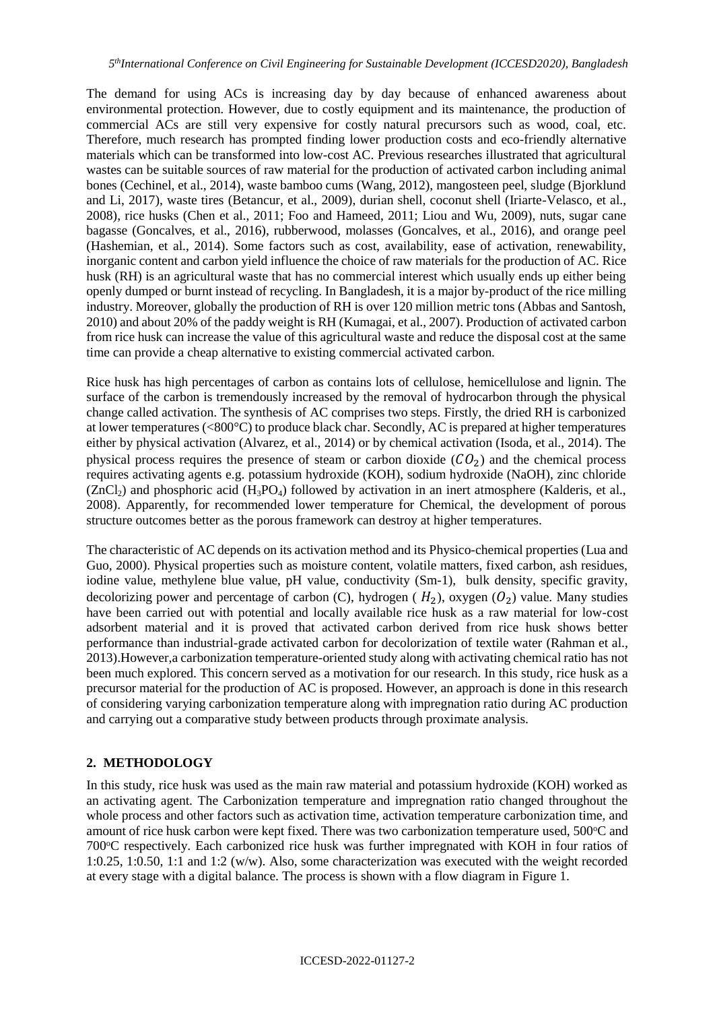The demand for using ACs is increasing day by day because of enhanced awareness about environmental protection. However, due to costly equipment and its maintenance, the production of commercial ACs are still very expensive for costly natural precursors such as wood, coal, etc. Therefore, much research has prompted finding lower production costs and eco-friendly alternative materials which can be transformed into low-cost AC. Previous researches illustrated that agricultural wastes can be suitable sources of raw material for the production of activated carbon including animal bones (Cechinel, et al., 2014), waste bamboo cums (Wang, 2012), mangosteen peel, sludge (Bjorklund and Li, 2017), waste tires (Betancur, et al., 2009), durian shell, coconut shell (Iriarte-Velasco, et al., 2008), rice husks (Chen et al., 2011; Foo and Hameed, 2011; Liou and Wu, 2009), nuts, sugar cane bagasse (Goncalves, et al., 2016), rubberwood, molasses (Goncalves, et al., 2016), and orange peel (Hashemian, et al., 2014). Some factors such as cost, availability, ease of activation, renewability, inorganic content and carbon yield influence the choice of raw materials for the production of AC. Rice husk (RH) is an agricultural waste that has no commercial interest which usually ends up either being openly dumped or burnt instead of recycling. In Bangladesh, it is a major by-product of the rice milling industry. Moreover, globally the production of RH is over 120 million metric tons (Abbas and Santosh, 2010) and about 20% of the paddy weight is RH (Kumagai, et al., 2007). Production of activated carbon from rice husk can increase the value of this agricultural waste and reduce the disposal cost at the same time can provide a cheap alternative to existing commercial activated carbon.

Rice husk has high percentages of carbon as contains lots of cellulose, hemicellulose and lignin. The surface of the carbon is tremendously increased by the removal of hydrocarbon through the physical change called activation. The synthesis of AC comprises two steps. Firstly, the dried RH is carbonized at lower temperatures (<800°C) to produce black char. Secondly, AC is prepared at higher temperatures either by physical activation (Alvarez, et al., 2014) or by chemical activation (Isoda, et al., 2014). The physical process requires the presence of steam or carbon dioxide  $(CO<sub>2</sub>)$  and the chemical process requires activating agents e.g. potassium hydroxide (KOH), sodium hydroxide (NaOH), zinc chloride  $(ZnCl<sub>2</sub>)$  and phosphoric acid  $(H<sub>3</sub>PO<sub>4</sub>)$  followed by activation in an inert atmosphere (Kalderis, et al., 2008). Apparently, for recommended lower temperature for Chemical, the development of porous structure outcomes better as the porous framework can destroy at higher temperatures.

The characteristic of AC depends on its activation method and its Physico-chemical properties (Lua and Guo, 2000). Physical properties such as moisture content, volatile matters, fixed carbon, ash residues, iodine value, methylene blue value, pH value, conductivity (Sm-1), bulk density, specific gravity, decolorizing power and percentage of carbon (C), hydrogen ( $H_2$ ), oxygen ( $O_2$ ) value. Many studies have been carried out with potential and locally available rice husk as a raw material for low-cost adsorbent material and it is proved that activated carbon derived from rice husk shows better performance than industrial-grade activated carbon for decolorization of textile water (Rahman et al., 2013).However,a carbonization temperature-oriented study along with activating chemical ratio has not been much explored. This concern served as a motivation for our research. In this study, rice husk as a precursor material for the production of AC is proposed. However, an approach is done in this research of considering varying carbonization temperature along with impregnation ratio during AC production and carrying out a comparative study between products through proximate analysis.

# **2. METHODOLOGY**

In this study, rice husk was used as the main raw material and potassium hydroxide (KOH) worked as an activating agent. The Carbonization temperature and impregnation ratio changed throughout the whole process and other factors such as activation time, activation temperature carbonization time, and amount of rice husk carbon were kept fixed. There was two carbonization temperature used, 500°C and 700 °C respectively. Each carbonized rice husk was further impregnated with KOH in four ratios of 1:0.25, 1:0.50, 1:1 and 1:2 (w/w). Also, some characterization was executed with the weight recorded at every stage with a digital balance. The process is shown with a flow diagram in Figure 1.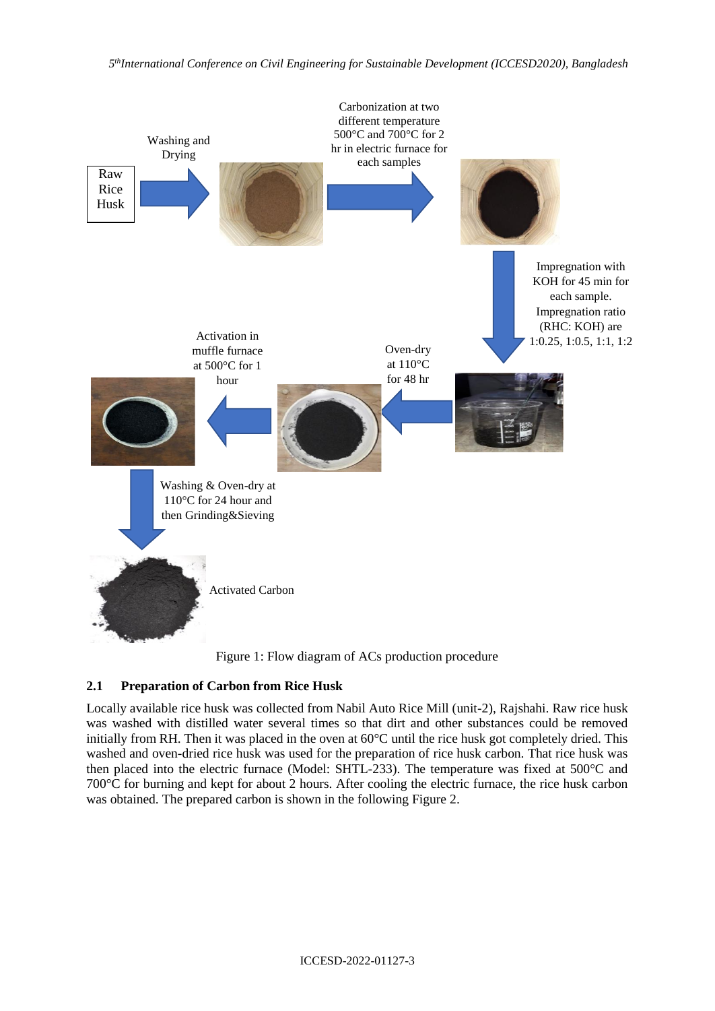

Figure 1: Flow diagram of ACs production procedure

# **2.1 Preparation of Carbon from Rice Husk**

Locally available rice husk was collected from Nabil Auto Rice Mill (unit-2), Rajshahi. Raw rice husk was washed with distilled water several times so that dirt and other substances could be removed initially from RH. Then it was placed in the oven at 60°C until the rice husk got completely dried. This washed and oven-dried rice husk was used for the preparation of rice husk carbon. That rice husk was then placed into the electric furnace (Model: SHTL-233). The temperature was fixed at 500°C and 700°C for burning and kept for about 2 hours. After cooling the electric furnace, the rice husk carbon was obtained. The prepared carbon is shown in the following Figure 2.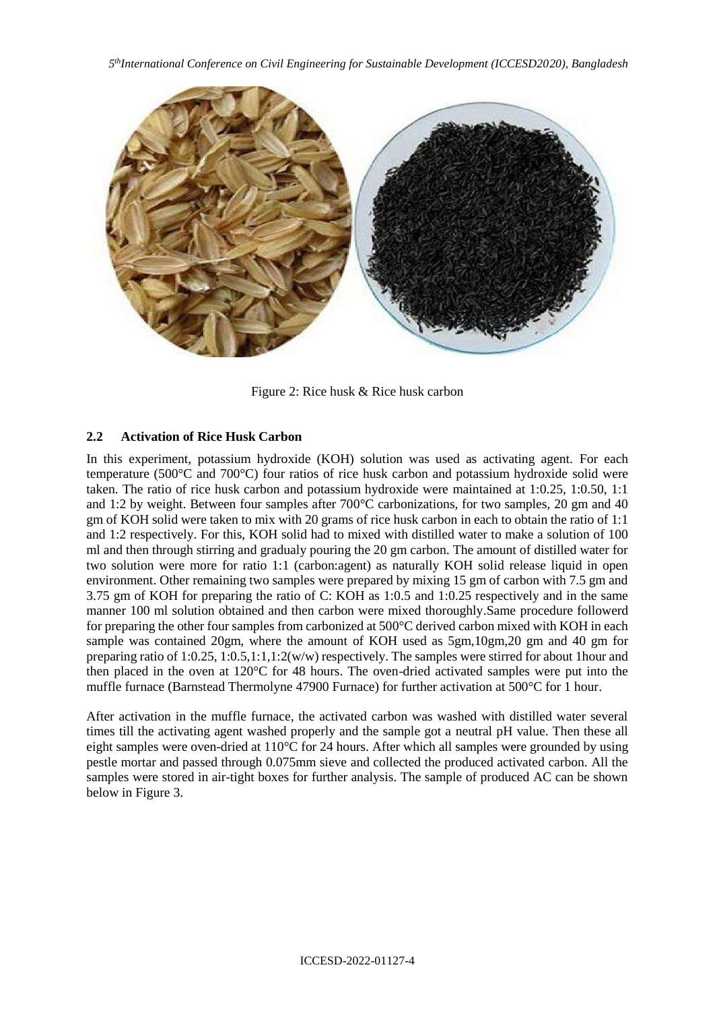

Figure 2: Rice husk & Rice husk carbon

#### **2.2 Activation of Rice Husk Carbon**

In this experiment, potassium hydroxide (KOH) solution was used as activating agent. For each temperature (500°C and 700°C) four ratios of rice husk carbon and potassium hydroxide solid were taken. The ratio of rice husk carbon and potassium hydroxide were maintained at 1:0.25, 1:0.50, 1:1 and 1:2 by weight. Between four samples after 700°C carbonizations, for two samples, 20 gm and 40 gm of KOH solid were taken to mix with 20 grams of rice husk carbon in each to obtain the ratio of 1:1 and 1:2 respectively. For this, KOH solid had to mixed with distilled water to make a solution of 100 ml and then through stirring and gradualy pouring the 20 gm carbon. The amount of distilled water for two solution were more for ratio 1:1 (carbon:agent) as naturally KOH solid release liquid in open environment. Other remaining two samples were prepared by mixing 15 gm of carbon with 7.5 gm and 3.75 gm of KOH for preparing the ratio of C: KOH as 1:0.5 and 1:0.25 respectively and in the same manner 100 ml solution obtained and then carbon were mixed thoroughly.Same procedure followerd for preparing the other four samples from carbonized at 500°C derived carbon mixed with KOH in each sample was contained 20gm, where the amount of KOH used as 5gm,10gm,20 gm and 40 gm for preparing ratio of 1:0.25, 1:0.5,1:1,1:2(w/w) respectively. The samples were stirred for about 1hour and then placed in the oven at 120°C for 48 hours. The oven-dried activated samples were put into the muffle furnace (Barnstead Thermolyne 47900 Furnace) for further activation at 500°C for 1 hour.

After activation in the muffle furnace, the activated carbon was washed with distilled water several times till the activating agent washed properly and the sample got a neutral pH value. Then these all eight samples were oven-dried at 110°C for 24 hours. After which all samples were grounded by using pestle mortar and passed through 0.075mm sieve and collected the produced activated carbon. All the samples were stored in air-tight boxes for further analysis. The sample of produced AC can be shown below in Figure 3.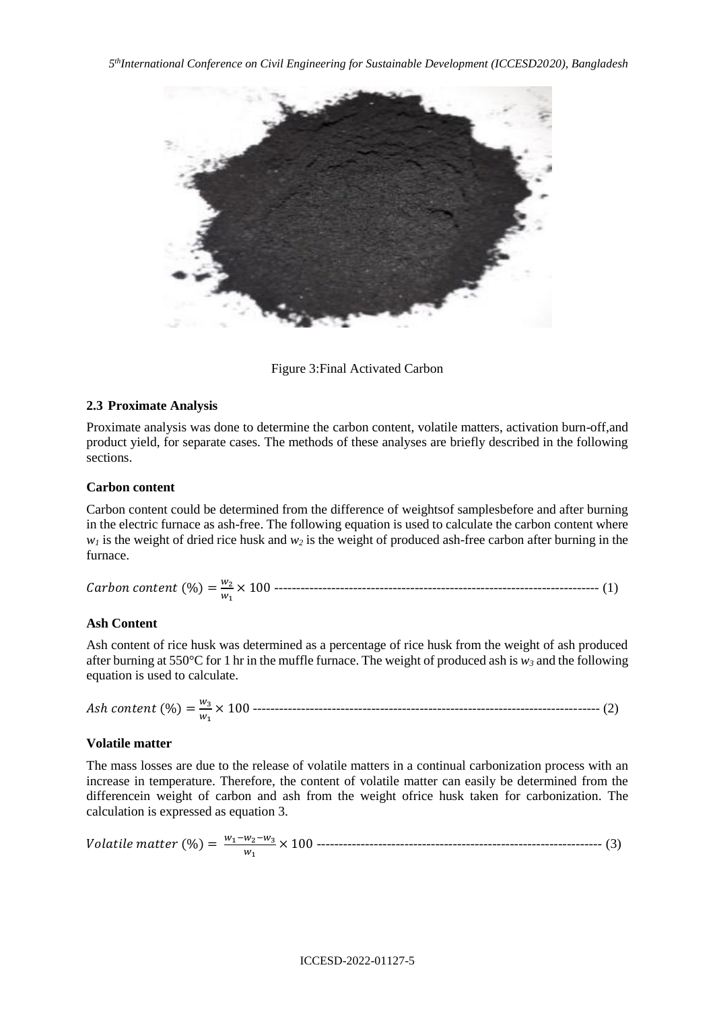

Figure 3:Final Activated Carbon

## **2.3 Proximate Analysis**

Proximate analysis was done to determine the carbon content, volatile matters, activation burn-off,and product yield, for separate cases. The methods of these analyses are briefly described in the following sections.

### **Carbon content**

Carbon content could be determined from the difference of weightsof samplesbefore and after burning in the electric furnace as ash-free. The following equation is used to calculate the carbon content where  $w_1$  is the weight of dried rice husk and  $w_2$  is the weight of produced ash-free carbon after burning in the furnace.

| <i>Carbon content</i> $(\%) = \frac{w_2}{w_1}$ | $\ddot{\phantom{0}}$ |  |
|------------------------------------------------|----------------------|--|
|------------------------------------------------|----------------------|--|

### **Ash Content**

Ash content of rice husk was determined as a percentage of rice husk from the weight of ash produced after burning at 550°C for 1 hr in the muffle furnace. The weight of produced ash is  $w_3$  and the following equation is used to calculate.

| Ash content $\left(\% \right) = \frac{w_3}{w_3} \times$ |  |
|---------------------------------------------------------|--|
|---------------------------------------------------------|--|

### **Volatile matter**

The mass losses are due to the release of volatile matters in a continual carbonization process with an increase in temperature. Therefore, the content of volatile matter can easily be determined from the differencein weight of carbon and ash from the weight ofrice husk taken for carbonization. The calculation is expressed as equation 3.

 (%) = 1−2−<sup>3</sup> <sup>1</sup> × 100 ----------------------------------------------------------------- (3)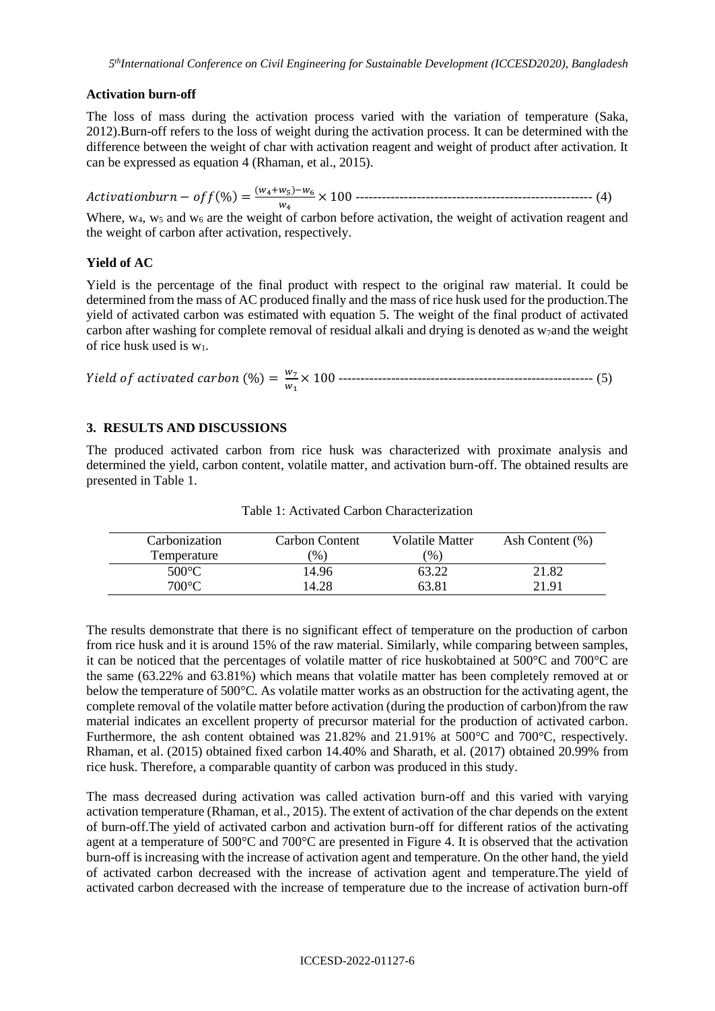## **Activation burn-off**

The loss of mass during the activation process varied with the variation of temperature (Saka, 2012).Burn-off refers to the loss of weight during the activation process. It can be determined with the difference between the weight of char with activation reagent and weight of product after activation. It can be expressed as equation 4 (Rhaman, et al., 2015).

 $\textit{Activationburn} - \textit{off}(\%) = \frac{(w_4 + w_5) - w_6}{w}$ <sup>4</sup> × 100 ------------------------------------------------------ (4)

Where,  $w_4$ ,  $w_5$  and  $w_6$  are the weight of carbon before activation, the weight of activation reagent and the weight of carbon after activation, respectively.

# **Yield of AC**

Yield is the percentage of the final product with respect to the original raw material. It could be determined from the mass of AC produced finally and the mass of rice husk used for the production.The yield of activated carbon was estimated with equation 5. The weight of the final product of activated carbon after washing for complete removal of residual alkali and drying is denoted as  $w_7$  and the weight of rice husk used is  $w_1$ .

 (%) = <sup>7</sup> <sup>1</sup> × 100 ---------------------------------------------------------- (5)

## **3. RESULTS AND DISCUSSIONS**

The produced activated carbon from rice husk was characterized with proximate analysis and determined the yield, carbon content, volatile matter, and activation burn-off. The obtained results are presented in Table 1.

| Carbonization   | Carbon Content | Volatile Matter | Ash Content $(\%)$ |
|-----------------|----------------|-----------------|--------------------|
| Temperature     | $\frac{9}{6}$  | $\mathcal{O}_0$ |                    |
| $500^{\circ}$ C | 14.96          | 63.22           | 21.82              |
| 700°C           | 14.28          | 63.81           | 21.91              |

Table 1: Activated Carbon Characterization

The results demonstrate that there is no significant effect of temperature on the production of carbon from rice husk and it is around 15% of the raw material. Similarly, while comparing between samples, it can be noticed that the percentages of volatile matter of rice huskobtained at 500°C and 700°C are the same (63.22% and 63.81%) which means that volatile matter has been completely removed at or below the temperature of 500°C. As volatile matter works as an obstruction for the activating agent, the complete removal of the volatile matter before activation (during the production of carbon)from the raw material indicates an excellent property of precursor material for the production of activated carbon. Furthermore, the ash content obtained was 21.82% and 21.91% at 500°C and 700°C, respectively. Rhaman, et al. (2015) obtained fixed carbon 14.40% and Sharath, et al. (2017) obtained 20.99% from rice husk. Therefore, a comparable quantity of carbon was produced in this study.

The mass decreased during activation was called activation burn-off and this varied with varying activation temperature (Rhaman, et al., 2015). The extent of activation of the char depends on the extent of burn-off.The yield of activated carbon and activation burn-off for different ratios of the activating agent at a temperature of 500°C and 700°C are presented in Figure 4. It is observed that the activation burn-off is increasing with the increase of activation agent and temperature. On the other hand, the yield of activated carbon decreased with the increase of activation agent and temperature.The yield of activated carbon decreased with the increase of temperature due to the increase of activation burn-off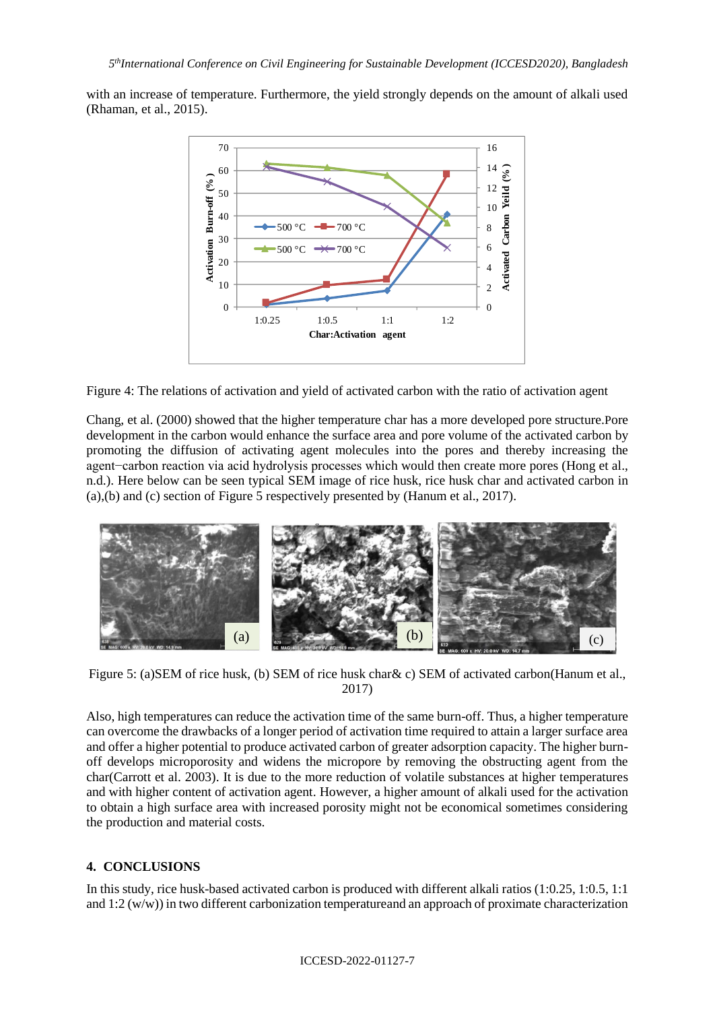with an increase of temperature. Furthermore, the yield strongly depends on the amount of alkali used (Rhaman, et al., 2015).



Figure 4: The relations of activation and yield of activated carbon with the ratio of activation agent

Chang, et al. (2000) showed that the higher temperature char has a more developed pore structure.Pore development in the carbon would enhance the surface area and pore volume of the activated carbon by promoting the diffusion of activating agent molecules into the pores and thereby increasing the agent−carbon reaction via acid hydrolysis processes which would then create more pores (Hong et al., n.d.). Here below can be seen typical SEM image of rice husk, rice husk char and activated carbon in (a),(b) and (c) section of Figure 5 respectively presented by (Hanum et al., 2017).



Figure 5: (a)SEM of rice husk, (b) SEM of rice husk char& c) SEM of activated carbon(Hanum et al., 2017)

Also, high temperatures can reduce the activation time of the same burn-off. Thus, a higher temperature can overcome the drawbacks of a longer period of activation time required to attain a larger surface area and offer a higher potential to produce activated carbon of greater adsorption capacity. The higher burnoff develops microporosity and widens the micropore by removing the obstructing agent from the char(Carrott et al. 2003). It is due to the more reduction of volatile substances at higher temperatures and with higher content of activation agent. However, a higher amount of alkali used for the activation to obtain a high surface area with increased porosity might not be economical sometimes considering the production and material costs.

# **4. CONCLUSIONS**

In this study, rice husk-based activated carbon is produced with different alkali ratios (1:0.25, 1:0.5, 1:1 and 1:2 (w/w)) in two different carbonization temperatureand an approach of proximate characterization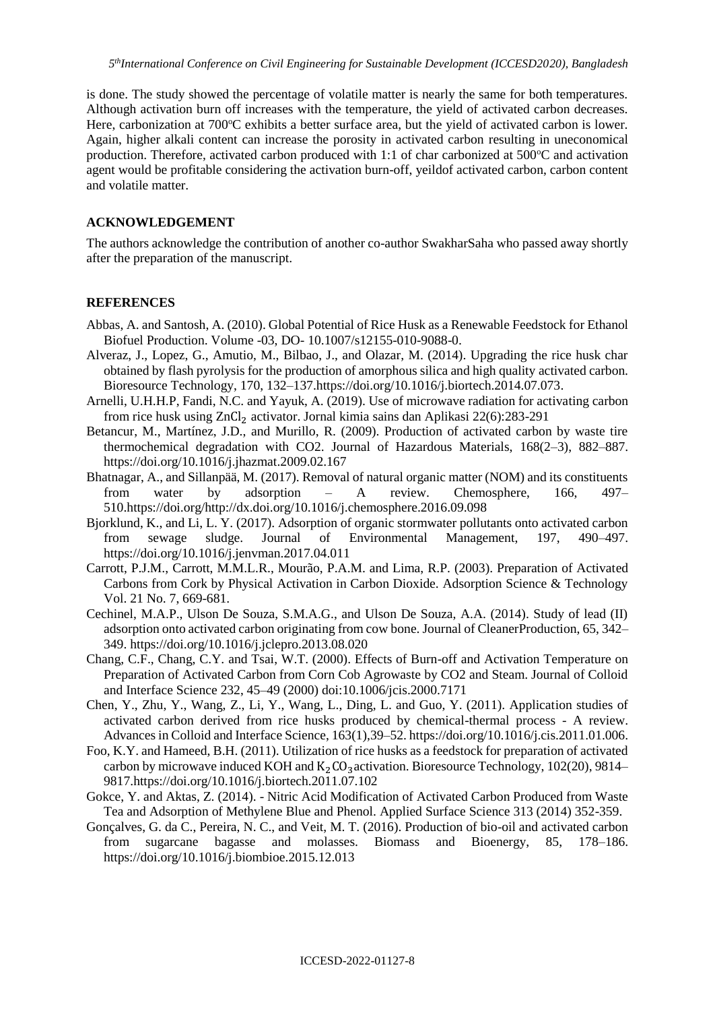is done. The study showed the percentage of volatile matter is nearly the same for both temperatures. Although activation burn off increases with the temperature, the yield of activated carbon decreases. Here, carbonization at  $700^{\circ}$ C exhibits a better surface area, but the yield of activated carbon is lower. Again, higher alkali content can increase the porosity in activated carbon resulting in uneconomical production. Therefore, activated carbon produced with 1:1 of char carbonized at  $500^{\circ}$ C and activation agent would be profitable considering the activation burn-off, yeildof activated carbon, carbon content and volatile matter.

#### **ACKNOWLEDGEMENT**

The authors acknowledge the contribution of another co-author SwakharSaha who passed away shortly after the preparation of the manuscript.

#### **REFERENCES**

- Abbas, A. and Santosh, A. (2010). Global Potential of Rice Husk as a Renewable Feedstock for Ethanol Biofuel Production. Volume -03, DO- 10.1007/s12155-010-9088-0.
- Alveraz, J., Lopez, G., Amutio, M., Bilbao, J., and Olazar, M. (2014). Upgrading the rice husk char obtained by flash pyrolysis for the production of amorphous silica and high quality activated carbon. Bioresource Technology, 170, 132–137[.https://doi.org/10.1016/j.biortech.2014.07.073.](https://doi.org/10.1016/j.biortech.2014.07.073)
- Arnelli, U.H.H.P, Fandi, N.C. and Yayuk, A. (2019). Use of microwave radiation for activating carbon from rice husk using ZnCl<sub>2</sub> activator. Jornal kimia sains dan Aplikasi 22(6):283-291
- Betancur, M., Martínez, J.D., and Murillo, R. (2009). Production of activated carbon by waste tire thermochemical degradation with CO2. Journal of Hazardous Materials, 168(2–3), 882–887. https://doi.org/10.1016/j.jhazmat.2009.02.167
- Bhatnagar, A., and Sillanpää, M. (2017). Removal of natural organic matter (NOM) and its constituents from water by adsorption – A review. Chemosphere, 166, 497– 510[.https://doi.org/http://dx.doi.org/10.1016/j.chemosphere.2016.09.098](https://doi.org/http:/dx.doi.org/10.1016/j.chemosphere.2016.09.098)
- Bjorklund, K., and Li, L. Y. (2017). Adsorption of organic stormwater pollutants onto activated carbon from sewage sludge. Journal of Environmental Management, 197, 490–497. <https://doi.org/10.1016/j.jenvman.2017.04.011>
- Carrott, P.J.M., Carrott, M.M.L.R., Mourão, P.A.M. and Lima, R.P. (2003). Preparation of Activated Carbons from Cork by Physical Activation in Carbon Dioxide. Adsorption Science & Technology Vol. 21 No. 7, 669-681.
- Cechinel, M.A.P., Ulson De Souza, S.M.A.G., and Ulson De Souza, A.A. (2014). Study of lead (II) adsorption onto activated carbon originating from cow bone. Journal of CleanerProduction, 65, 342– 349.<https://doi.org/10.1016/j.jclepro.2013.08.020>
- Chang, C.F., Chang, C.Y. and Tsai, W.T. (2000). Effects of Burn-off and Activation Temperature on Preparation of Activated Carbon from Corn Cob Agrowaste by CO2 and Steam. Journal of Colloid and Interface Science 232, 45–49 (2000) doi:10.1006/jcis.2000.7171
- Chen, Y., Zhu, Y., Wang, Z., Li, Y., Wang, L., Ding, L. and Guo, Y. (2011). Application studies of activated carbon derived from rice husks produced by chemical-thermal process - A review. Advances in Colloid and Interface Science, 163(1),39–52. [https://doi.org/10.1016/j.cis.2011.01.006.](https://doi.org/10.1016/j.cis.2011.01.006)
- Foo, K.Y. and Hameed, B.H. (2011). Utilization of rice husks as a feedstock for preparation of activated carbon by microwave induced KOH and  $K_2CO_3$  activation. Bioresource Technology, 102(20), 9814– 9817[.https://doi.org/10.1016/j.biortech.2011.07.102](https://doi.org/10.1016/j.biortech.2011.07.102)
- Gokce, Y. and Aktas, Z. (2014). Nitric Acid Modification of Activated Carbon Produced from Waste Tea and Adsorption of Methylene Blue and Phenol. Applied Surface Science 313 (2014) 352-359.
- Gonçalves, G. da C., Pereira, N. C., and Veit, M. T. (2016). Production of bio-oil and activated carbon from sugarcane bagasse and molasses. Biomass and Bioenergy, 85, 178–186. <https://doi.org/10.1016/j.biombioe.2015.12.013>